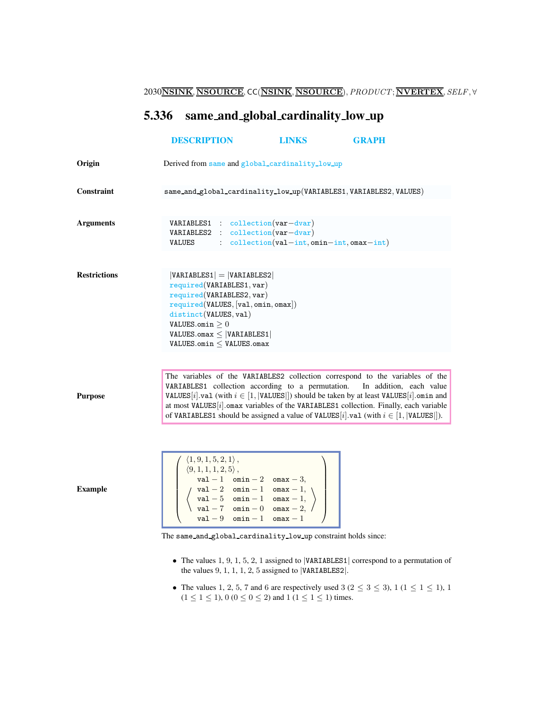2030NSINK, NSOURCE, CC(NSINK, NSOURCE), PRODUCT; NVERTEX, SELF, ∀

# <span id="page-0-0"></span>5.336 same and global cardinality low up

|                     | <b>DESCRIPTION</b>                                                                                                                                                                                                                                                                                                                                                                                                                                                         | <b>LINKS</b>                                | <b>GRAPH</b>                                                                                                                                                                                                                                                                                                                                                                                                                                            |
|---------------------|----------------------------------------------------------------------------------------------------------------------------------------------------------------------------------------------------------------------------------------------------------------------------------------------------------------------------------------------------------------------------------------------------------------------------------------------------------------------------|---------------------------------------------|---------------------------------------------------------------------------------------------------------------------------------------------------------------------------------------------------------------------------------------------------------------------------------------------------------------------------------------------------------------------------------------------------------------------------------------------------------|
| Origin              | Derived from same and global_cardinality_low_up                                                                                                                                                                                                                                                                                                                                                                                                                            |                                             |                                                                                                                                                                                                                                                                                                                                                                                                                                                         |
| Constraint          |                                                                                                                                                                                                                                                                                                                                                                                                                                                                            |                                             | same_and_global_cardinality_low_up(VARIABLES1, VARIABLES2, VALUES)                                                                                                                                                                                                                                                                                                                                                                                      |
| <b>Arguments</b>    | $VARIABLES1 : collection(var-dvar)$<br>VARIABLES2 : collection(var-dvar)<br>VALUES                                                                                                                                                                                                                                                                                                                                                                                         | $:$ collection(val-int, omin-int, omax-int) |                                                                                                                                                                                                                                                                                                                                                                                                                                                         |
| <b>Restrictions</b> | $ VARIABLES1  =  VARIABLES2 $<br>required(VARIABLES1, var)<br>required(VARIABLES2, var)<br>required(VALUES, [val, omin, omax])<br>distinct(VALUES, val)<br><code>VALUES.omin</code> $\geq 0$<br>$VALUES.omax \leq  VARIABLES1 $<br>$\texttt{VALUES}.\texttt{omin} \leq \texttt{VALUES}.\texttt{omax}$                                                                                                                                                                      |                                             |                                                                                                                                                                                                                                                                                                                                                                                                                                                         |
| <b>Purpose</b>      |                                                                                                                                                                                                                                                                                                                                                                                                                                                                            |                                             | The variables of the VARIABLES2 collection correspond to the variables of the<br>VARIABLES1 collection according to a permutation. In addition, each value<br>VALUES [i]. val (with $i \in [1,  $ VALUES []) should be taken by at least VALUES [i]. omin and<br>at most VALUES $[i]$ . omax variables of the VARIABLES1 collection. Finally, each variable<br>of VARIABLES1 should be assigned a value of VALUES[i].val (with $i \in [1,  VALUES ]$ ). |
| <b>Example</b>      | $\langle 1, 9, 1, 5, 2, 1 \rangle$ ,<br>$\left\{\n\begin{array}{l}\n\langle 1, 0, 1, 1, 2, 5 \rangle,\n\langle 9, 1, 1, 1, 2, 5 \rangle,\n\text{val } -1 \quad \text{omin } -2 \quad \text{omax } -3,\n\langle \text{val } -2 \quad \text{omin } -1 \quad \text{omax } -1,\n\langle \text{val } -5 \quad \text{omin } -1 \quad \text{omax } -1,\n\langle \text{val } -7 \quad \text{omin } 0 \quad \text{omax } -2,\n\end{array}\n\right\}$<br>$val - 9$ omin - 1 omax - 1 |                                             |                                                                                                                                                                                                                                                                                                                                                                                                                                                         |
|                     | The same_and_global_cardinality_low_up constraint holds since:                                                                                                                                                                                                                                                                                                                                                                                                             |                                             | The values 1 $\leq 1$ 5 $\geq 1$ assigned to VARTARI ES1 correspond to a permutation of                                                                                                                                                                                                                                                                                                                                                                 |

- The values  $1, 9, 1, 5, 2, 1$  assigned to  $|VARIABLES1|$  correspond to a permutation of the values 9, 1, 1, 1, 2, 5 assigned to |VARIABLES2|.
- The values 1, 2, 5, 7 and 6 are respectively used  $3$  ( $2 \le 3 \le 3$ ),  $1$  ( $1 \le 1 \le 1$ ),  $1$  $(1 \le 1 \le 1)$ ,  $0 (0 \le 0 \le 2)$  and  $1 (1 \le 1 \le 1)$  times.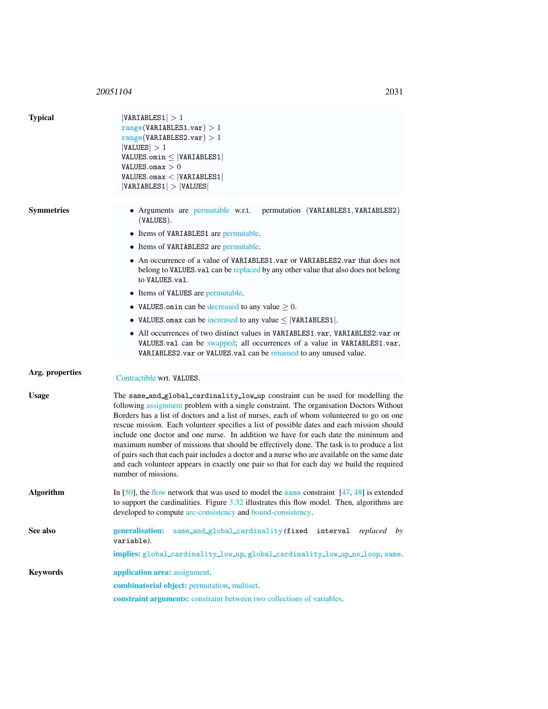## 20051104 203

<span id="page-1-0"></span>

| <b>Typical</b>    | VARIABLES1  > 1<br>range(VARIABLES1.var) > 1<br>range(VARIABLES2.var) > 1<br> VALUES  > 1<br>$VALUES.omin \leq  VARIABLES1 $<br>VALUES.omax $>0$<br>VALUES.max <  VARIABLES1 <br> VARIABLES1  >  VALUES                                                                                                                                                                                                                                                                                                                                                                                                                                                                                                                                                                       |  |  |
|-------------------|-------------------------------------------------------------------------------------------------------------------------------------------------------------------------------------------------------------------------------------------------------------------------------------------------------------------------------------------------------------------------------------------------------------------------------------------------------------------------------------------------------------------------------------------------------------------------------------------------------------------------------------------------------------------------------------------------------------------------------------------------------------------------------|--|--|
|                   |                                                                                                                                                                                                                                                                                                                                                                                                                                                                                                                                                                                                                                                                                                                                                                               |  |  |
| <b>Symmetries</b> | • Arguments are permutable w.r.t.<br>permutation (VARIABLES1, VARIABLES2)<br>$(VALUES)$ .                                                                                                                                                                                                                                                                                                                                                                                                                                                                                                                                                                                                                                                                                     |  |  |
|                   | • Items of VARIABLES1 are permutable.                                                                                                                                                                                                                                                                                                                                                                                                                                                                                                                                                                                                                                                                                                                                         |  |  |
|                   | • Items of VARIABLES2 are permutable.                                                                                                                                                                                                                                                                                                                                                                                                                                                                                                                                                                                                                                                                                                                                         |  |  |
|                   | • An occurrence of a value of VARIABLES1.var or VARIABLES2.var that does not<br>belong to VALUES val can be replaced by any other value that also does not belong<br>to VALUES.val.                                                                                                                                                                                                                                                                                                                                                                                                                                                                                                                                                                                           |  |  |
|                   | • Items of VALUES are permutable.                                                                                                                                                                                                                                                                                                                                                                                                                                                                                                                                                                                                                                                                                                                                             |  |  |
|                   | • VALUES omin can be decreased to any value $\geq 0$ .                                                                                                                                                                                                                                                                                                                                                                                                                                                                                                                                                                                                                                                                                                                        |  |  |
|                   | • VALUES omax can be increased to any value $\leq$  VARIABLES1 .                                                                                                                                                                                                                                                                                                                                                                                                                                                                                                                                                                                                                                                                                                              |  |  |
|                   | • All occurrences of two distinct values in VARIABLES1.var, VARIABLES2.var or<br>VALUES.val can be swapped; all occurrences of a value in VARIABLES1.var,<br>VARIABLES2.var or VALUES.val can be renamed to any unused value.                                                                                                                                                                                                                                                                                                                                                                                                                                                                                                                                                 |  |  |
| Arg. properties   |                                                                                                                                                                                                                                                                                                                                                                                                                                                                                                                                                                                                                                                                                                                                                                               |  |  |
|                   | Contractible wrt. VALUES.                                                                                                                                                                                                                                                                                                                                                                                                                                                                                                                                                                                                                                                                                                                                                     |  |  |
| <b>Usage</b>      | The same_and_global_cardinality_low_up constraint can be used for modelling the<br>following assignment problem with a single constraint. The organisation Doctors Without<br>Borders has a list of doctors and a list of nurses, each of whom volunteered to go on one<br>rescue mission. Each volunteer specifies a list of possible dates and each mission should<br>include one doctor and one nurse. In addition we have for each date the minimum and<br>maximum number of missions that should be effectively done. The task is to produce a list<br>of pairs such that each pair includes a doctor and a nurse who are available on the same date<br>and each volunteer appears in exactly one pair so that for each day we build the required<br>number of missions. |  |  |
| <b>Algorithm</b>  | In [50], the flow network that was used to model the same constraint $[47, 48]$ is extended<br>to support the cardinalities. Figure $3.32$ illustrates this flow model. Then, algorithms are<br>developed to compute arc-consistency and bound-consistency.                                                                                                                                                                                                                                                                                                                                                                                                                                                                                                                   |  |  |
| See also          | generalisation:<br>same_and_global_cardinality(fixed interval replaced by<br>variable).                                                                                                                                                                                                                                                                                                                                                                                                                                                                                                                                                                                                                                                                                       |  |  |
|                   | implies: global_cardinality_low_up, global_cardinality_low_up_no_loop, same.                                                                                                                                                                                                                                                                                                                                                                                                                                                                                                                                                                                                                                                                                                  |  |  |
| <b>Keywords</b>   | application area: assignment.                                                                                                                                                                                                                                                                                                                                                                                                                                                                                                                                                                                                                                                                                                                                                 |  |  |
|                   | combinatorial object: permutation, multiset.                                                                                                                                                                                                                                                                                                                                                                                                                                                                                                                                                                                                                                                                                                                                  |  |  |
|                   | constraint arguments: constraint between two collections of variables.                                                                                                                                                                                                                                                                                                                                                                                                                                                                                                                                                                                                                                                                                                        |  |  |
|                   |                                                                                                                                                                                                                                                                                                                                                                                                                                                                                                                                                                                                                                                                                                                                                                               |  |  |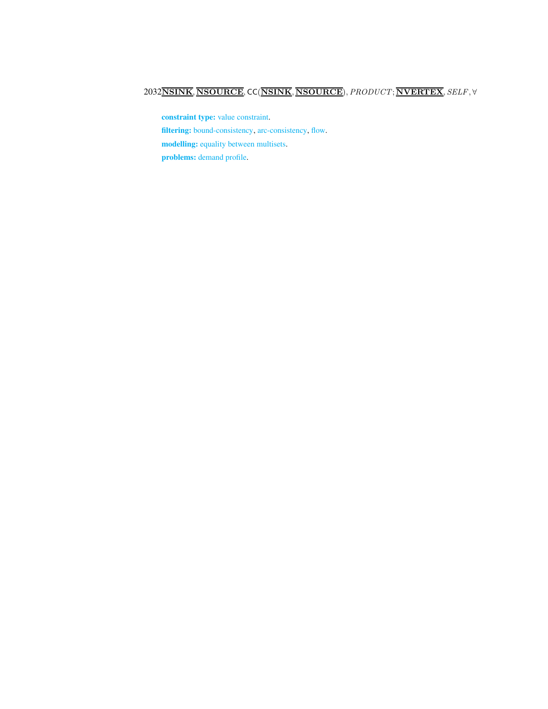## 2032NSINK, NSOURCE, CC(NSINK, NSOURCE),PRODUCT; NVERTEX, SELF, ∀

constraint type: value constraint. filtering: bound-consistency, arc-consistency, flow. modelling: equality between multisets. problems: demand profile.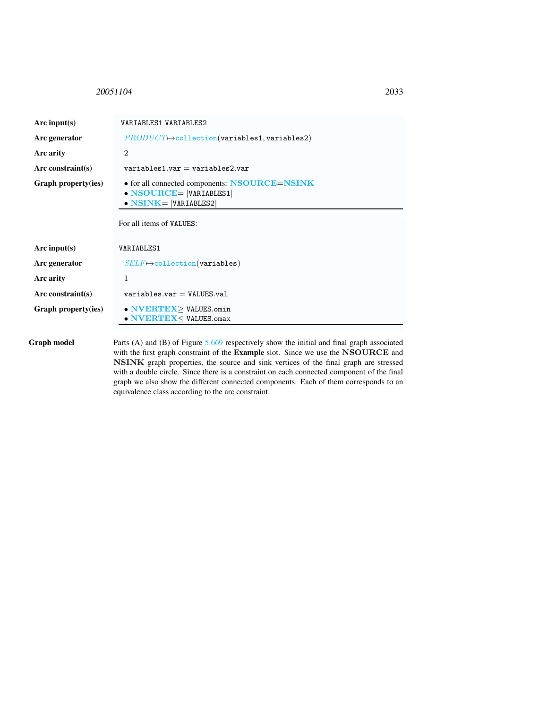#### <span id="page-3-0"></span>20051104 2033

| Arc input(s)         | VARIABLES1 VARIABLES2                                                                                                                         |
|----------------------|-----------------------------------------------------------------------------------------------------------------------------------------------|
| Arc generator        | $PRODUCT \rightarrow collection(variables1, variables2)$                                                                                      |
| Arc arity            | $\mathcal{D}_{\mathcal{L}}$                                                                                                                   |
| Arc constraint(s)    | $variable 1$ variables $v = variable 2$ variables $2$ var                                                                                     |
| Graph property(ies)  | • for all connected components: NSOURCE=NSINK<br>$\bullet$ NSOURCE=  VARIABLES1 <br>$\bullet$ NSINK=  VARIABLES2 <br>For all items of VALUES: |
| Arc input(s)         | VARIABLES1                                                                                                                                    |
| Arc generator        | $SELF \mapsto$ collection(variables)                                                                                                          |
| Arc arity            | 1                                                                                                                                             |
| Arc constraint $(s)$ | $variable s.var = VALUES.vala1$                                                                                                               |
| Graph property(ies)  | • NVERTEX>VALUES.omin<br>• NVERTEX< VALUES.omax                                                                                               |

Graph model Parts (A) and (B) of Figure [5.669](#page-4-0) respectively show the initial and final graph associated with the first graph constraint of the Example slot. Since we use the NSOURCE and NSINK graph properties, the source and sink vertices of the final graph are stressed with a double circle. Since there is a constraint on each connected component of the final graph we also show the different connected components. Each of them corresponds to an equivalence class according to the arc constraint.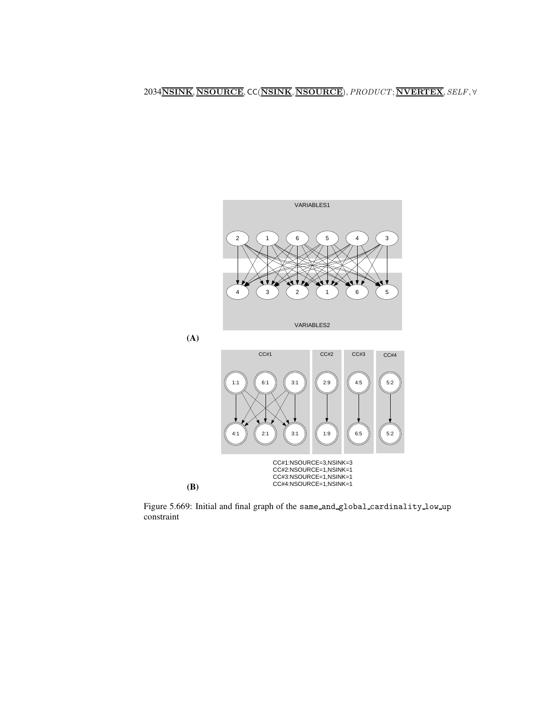2034NSINK, NSOURCE, CC(NSINK, NSOURCE),PRODUCT; NVERTEX, SELF, ∀



<span id="page-4-0"></span>Figure 5.669: Initial and final graph of the same and global cardinality low up constraint